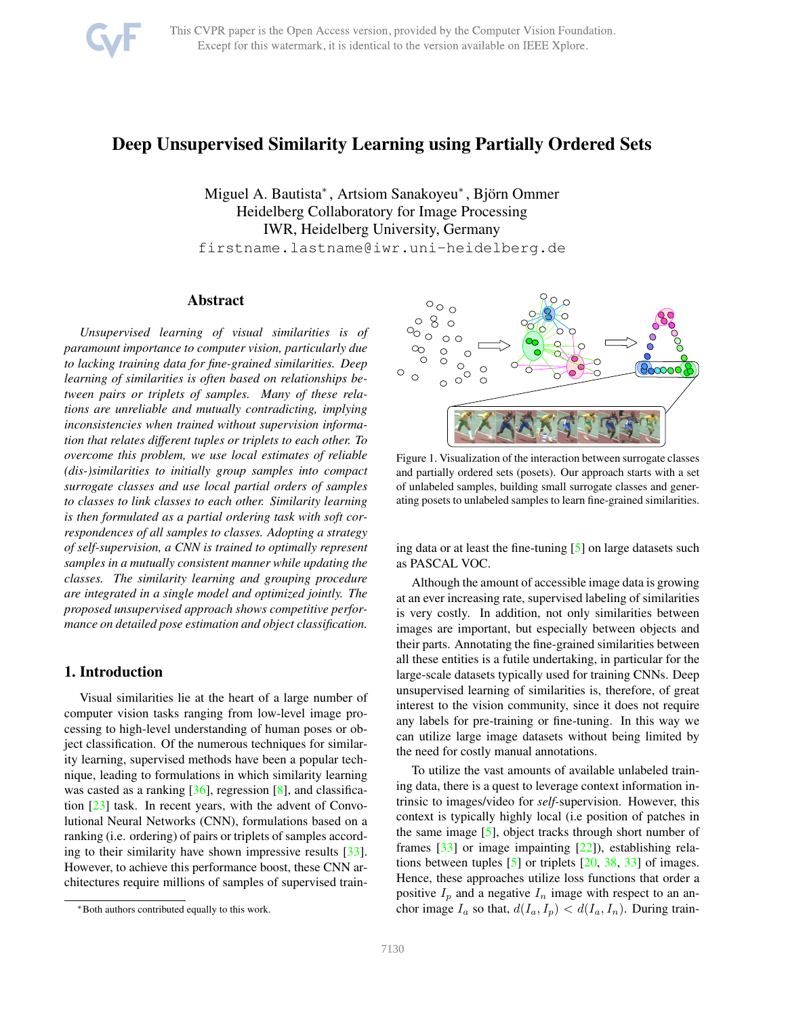

# <span id="page-0-0"></span>Deep Unsupervised Similarity Learning using Partially Ordered Sets

Miguel A. Bautista<sup>∗</sup> , Artsiom Sanakoyeu<sup>∗</sup> , Bjorn Ommer ¨ Heidelberg Collaboratory for Image Processing IWR, Heidelberg University, Germany firstname.lastname@iwr.uni-heidelberg.de

### Abstract

*Unsupervised learning of visual similarities is of paramount importance to computer vision, particularly due to lacking training data for fine-grained similarities. Deep learning of similarities is often based on relationships between pairs or triplets of samples. Many of these relations are unreliable and mutually contradicting, implying inconsistencies when trained without supervision information that relates different tuples or triplets to each other. To overcome this problem, we use local estimates of reliable (dis-)similarities to initially group samples into compact surrogate classes and use local partial orders of samples to classes to link classes to each other. Similarity learning is then formulated as a partial ordering task with soft correspondences of all samples to classes. Adopting a strategy of self-supervision, a CNN is trained to optimally represent samples in a mutually consistent manner while updating the classes. The similarity learning and grouping procedure are integrated in a single model and optimized jointly. The proposed unsupervised approach shows competitive performance on detailed pose estimation and object classification.*

# 1. Introduction

Visual similarities lie at the heart of a large number of computer vision tasks ranging from low-level image processing to high-level understanding of human poses or object classification. Of the numerous techniques for similarity learning, supervised methods have been a popular technique, leading to formulations in which similarity learning was casted as a ranking [\[36\]](#page-9-0), regression [\[8\]](#page-8-0), and classification [\[23\]](#page-9-1) task. In recent years, with the advent of Convolutional Neural Networks (CNN), formulations based on a ranking (i.e. ordering) of pairs or triplets of samples according to their similarity have shown impressive results [\[33\]](#page-9-2). However, to achieve this performance boost, these CNN architectures require millions of samples of supervised train-



Figure 1. Visualization of the interaction between surrogate classes and partially ordered sets (posets). Our approach starts with a set of unlabeled samples, building small surrogate classes and generating posets to unlabeled samples to learn fine-grained similarities.

ing data or at least the fine-tuning [\[5\]](#page-8-1) on large datasets such as PASCAL VOC.

Although the amount of accessible image data is growing at an ever increasing rate, supervised labeling of similarities is very costly. In addition, not only similarities between images are important, but especially between objects and their parts. Annotating the fine-grained similarities between all these entities is a futile undertaking, in particular for the large-scale datasets typically used for training CNNs. Deep unsupervised learning of similarities is, therefore, of great interest to the vision community, since it does not require any labels for pre-training or fine-tuning. In this way we can utilize large image datasets without being limited by the need for costly manual annotations.

To utilize the vast amounts of available unlabeled training data, there is a quest to leverage context information intrinsic to images/video for *self-*supervision. However, this context is typically highly local (i.e position of patches in the same image [\[5\]](#page-8-1), object tracks through short number of frames  $[33]$  or image impainting  $[22]$ ), establishing relations between tuples  $[5]$  or triplets  $[20, 38, 33]$  $[20, 38, 33]$  $[20, 38, 33]$  $[20, 38, 33]$  of images. Hence, these approaches utilize loss functions that order a positive  $I_p$  and a negative  $I_n$  image with respect to an anchor image  $I_a$  so that,  $d(I_a, I_p) < d(I_a, I_n)$ . During train-

<sup>∗</sup>Both authors contributed equally to this work.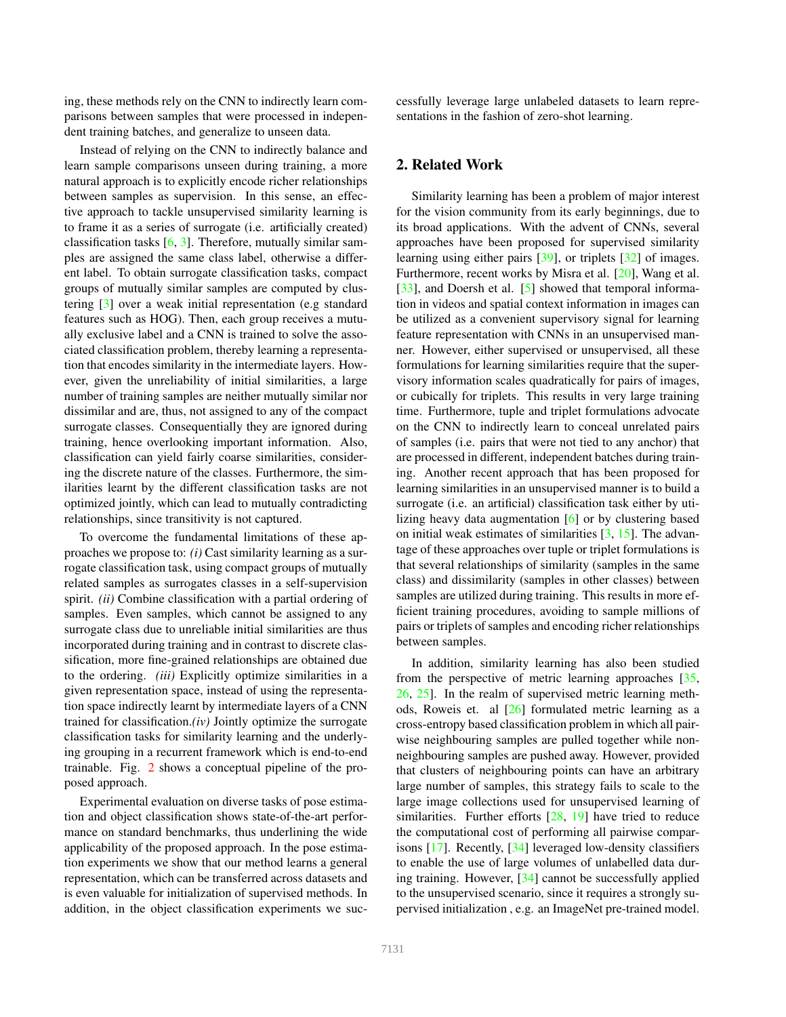<span id="page-1-0"></span>ing, these methods rely on the CNN to indirectly learn comparisons between samples that were processed in independent training batches, and generalize to unseen data.

Instead of relying on the CNN to indirectly balance and learn sample comparisons unseen during training, a more natural approach is to explicitly encode richer relationships between samples as supervision. In this sense, an effective approach to tackle unsupervised similarity learning is to frame it as a series of surrogate (i.e. artificially created) classification tasks  $[6, 3]$  $[6, 3]$ . Therefore, mutually similar samples are assigned the same class label, otherwise a different label. To obtain surrogate classification tasks, compact groups of mutually similar samples are computed by clustering [\[3\]](#page-8-5) over a weak initial representation (e.g standard features such as HOG). Then, each group receives a mutually exclusive label and a CNN is trained to solve the associated classification problem, thereby learning a representation that encodes similarity in the intermediate layers. However, given the unreliability of initial similarities, a large number of training samples are neither mutually similar nor dissimilar and are, thus, not assigned to any of the compact surrogate classes. Consequentially they are ignored during training, hence overlooking important information. Also, classification can yield fairly coarse similarities, considering the discrete nature of the classes. Furthermore, the similarities learnt by the different classification tasks are not optimized jointly, which can lead to mutually contradicting relationships, since transitivity is not captured.

To overcome the fundamental limitations of these approaches we propose to: *(i)* Cast similarity learning as a surrogate classification task, using compact groups of mutually related samples as surrogates classes in a self-supervision spirit. *(ii)* Combine classification with a partial ordering of samples. Even samples, which cannot be assigned to any surrogate class due to unreliable initial similarities are thus incorporated during training and in contrast to discrete classification, more fine-grained relationships are obtained due to the ordering. *(iii)* Explicitly optimize similarities in a given representation space, instead of using the representation space indirectly learnt by intermediate layers of a CNN trained for classification.*(iv)* Jointly optimize the surrogate classification tasks for similarity learning and the underlying grouping in a recurrent framework which is end-to-end trainable. Fig. [2](#page-2-0) shows a conceptual pipeline of the proposed approach.

Experimental evaluation on diverse tasks of pose estimation and object classification shows state-of-the-art performance on standard benchmarks, thus underlining the wide applicability of the proposed approach. In the pose estimation experiments we show that our method learns a general representation, which can be transferred across datasets and is even valuable for initialization of supervised methods. In addition, in the object classification experiments we successfully leverage large unlabeled datasets to learn representations in the fashion of zero-shot learning.

### 2. Related Work

Similarity learning has been a problem of major interest for the vision community from its early beginnings, due to its broad applications. With the advent of CNNs, several approaches have been proposed for supervised similarity learning using either pairs [\[39\]](#page-9-4), or triplets [\[32\]](#page-9-5) of images. Furthermore, recent works by Misra et al. [\[20\]](#page-8-3), Wang et al. [\[33\]](#page-9-2), and Doersh et al. [\[5\]](#page-8-1) showed that temporal information in videos and spatial context information in images can be utilized as a convenient supervisory signal for learning feature representation with CNNs in an unsupervised manner. However, either supervised or unsupervised, all these formulations for learning similarities require that the supervisory information scales quadratically for pairs of images, or cubically for triplets. This results in very large training time. Furthermore, tuple and triplet formulations advocate on the CNN to indirectly learn to conceal unrelated pairs of samples (i.e. pairs that were not tied to any anchor) that are processed in different, independent batches during training. Another recent approach that has been proposed for learning similarities in an unsupervised manner is to build a surrogate (i.e. an artificial) classification task either by utilizing heavy data augmentation [\[6\]](#page-8-4) or by clustering based on initial weak estimates of similarities  $[3, 15]$  $[3, 15]$ . The advantage of these approaches over tuple or triplet formulations is that several relationships of similarity (samples in the same class) and dissimilarity (samples in other classes) between samples are utilized during training. This results in more efficient training procedures, avoiding to sample millions of pairs or triplets of samples and encoding richer relationships between samples.

In addition, similarity learning has also been studied from the perspective of metric learning approaches [\[35,](#page-9-6) [26,](#page-9-7) [25\]](#page-9-8). In the realm of supervised metric learning methods, Roweis et. al [\[26\]](#page-9-7) formulated metric learning as a cross-entropy based classification problem in which all pairwise neighbouring samples are pulled together while nonneighbouring samples are pushed away. However, provided that clusters of neighbouring points can have an arbitrary large number of samples, this strategy fails to scale to the large image collections used for unsupervised learning of similarities. Further efforts [\[28,](#page-9-9) [19\]](#page-8-7) have tried to reduce the computational cost of performing all pairwise comparisons [\[17\]](#page-8-8). Recently, [\[34\]](#page-9-10) leveraged low-density classifiers to enable the use of large volumes of unlabelled data during training. However, [\[34\]](#page-9-10) cannot be successfully applied to the unsupervised scenario, since it requires a strongly supervised initialization , e.g. an ImageNet pre-trained model.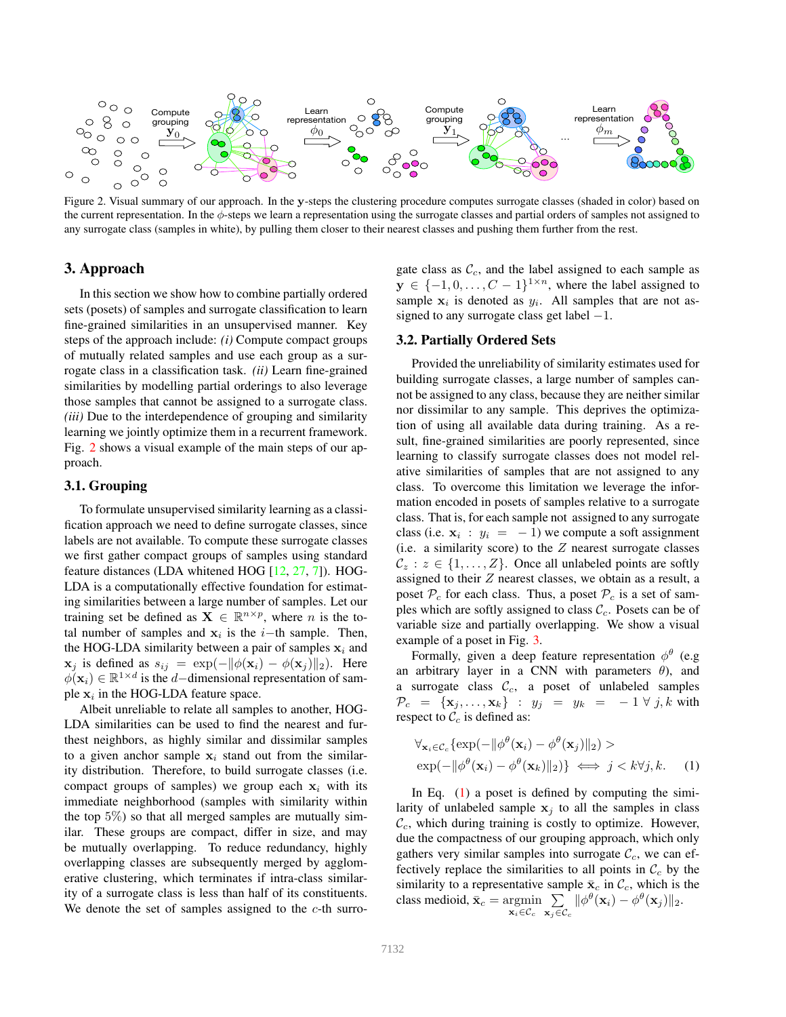<span id="page-2-3"></span>

<span id="page-2-0"></span>Figure 2. Visual summary of our approach. In the y-steps the clustering procedure computes surrogate classes (shaded in color) based on the current representation. In the  $\phi$ -steps we learn a representation using the surrogate classes and partial orders of samples not assigned to any surrogate class (samples in white), by pulling them closer to their nearest classes and pushing them further from the rest.

# 3. Approach

In this section we show how to combine partially ordered sets (posets) of samples and surrogate classification to learn fine-grained similarities in an unsupervised manner. Key steps of the approach include: *(i)* Compute compact groups of mutually related samples and use each group as a surrogate class in a classification task. *(ii)* Learn fine-grained similarities by modelling partial orderings to also leverage those samples that cannot be assigned to a surrogate class. *(iii)* Due to the interdependence of grouping and similarity learning we jointly optimize them in a recurrent framework. Fig. [2](#page-2-0) shows a visual example of the main steps of our approach.

#### <span id="page-2-2"></span>3.1. Grouping

To formulate unsupervised similarity learning as a classification approach we need to define surrogate classes, since labels are not available. To compute these surrogate classes we first gather compact groups of samples using standard feature distances (LDA whitened HOG [\[12,](#page-8-9) [27,](#page-9-11) [7\]](#page-8-10)). HOG-LDA is a computationally effective foundation for estimating similarities between a large number of samples. Let our training set be defined as  $X \in \mathbb{R}^{n \times p}$ , where *n* is the total number of samples and  $x_i$  is the *i*−th sample. Then, the HOG-LDA similarity between a pair of samples  $x_i$  and  $\mathbf{x}_j$  is defined as  $s_{ij} = \exp(-\|\phi(\mathbf{x}_i) - \phi(\mathbf{x}_j)\|_2)$ . Here  $\phi(\mathbf{x}_i) \in \mathbb{R}^{1 \times d}$  is the d–dimensional representation of sample  $x_i$  in the HOG-LDA feature space.

Albeit unreliable to relate all samples to another, HOG-LDA similarities can be used to find the nearest and furthest neighbors, as highly similar and dissimilar samples to a given anchor sample  $x_i$  stand out from the similarity distribution. Therefore, to build surrogate classes (i.e. compact groups of samples) we group each  $x_i$  with its immediate neighborhood (samples with similarity within the top  $5\%$ ) so that all merged samples are mutually similar. These groups are compact, differ in size, and may be mutually overlapping. To reduce redundancy, highly overlapping classes are subsequently merged by agglomerative clustering, which terminates if intra-class similarity of a surrogate class is less than half of its constituents. We denote the set of samples assigned to the  $c$ -th surrogate class as  $\mathcal{C}_c$ , and the label assigned to each sample as  $y \in \{-1, 0, \ldots, C-1\}^{1 \times n}$ , where the label assigned to sample  $x_i$  is denoted as  $y_i$ . All samples that are not assigned to any surrogate class get label  $-1$ .

### 3.2. Partially Ordered Sets

Provided the unreliability of similarity estimates used for building surrogate classes, a large number of samples cannot be assigned to any class, because they are neither similar nor dissimilar to any sample. This deprives the optimization of using all available data during training. As a result, fine-grained similarities are poorly represented, since learning to classify surrogate classes does not model relative similarities of samples that are not assigned to any class. To overcome this limitation we leverage the information encoded in posets of samples relative to a surrogate class. That is, for each sample not assigned to any surrogate class (i.e.  $x_i : y_i = -1$ ) we compute a soft assignment (i.e. a similarity score) to the  $Z$  nearest surrogate classes  $C_z : z \in \{1, \ldots, Z\}$ . Once all unlabeled points are softly assigned to their  $Z$  nearest classes, we obtain as a result, a poset  $P_c$  for each class. Thus, a poset  $P_c$  is a set of samples which are softly assigned to class  $\mathcal{C}_c$ . Posets can be of variable size and partially overlapping. We show a visual example of a poset in Fig. [3.](#page-3-0)

Formally, given a deep feature representation  $\phi^{\theta}$  (e.g an arbitrary layer in a CNN with parameters  $\theta$ ), and a surrogate class  $C_c$ , a poset of unlabeled samples  $\mathcal{P}_c = {\mathbf{x}_j, \dots, \mathbf{x}_k}$  :  $y_j = y_k = -1 \forall j, k$  with respect to  $C_c$  is defined as:

<span id="page-2-1"></span>
$$
\forall_{\mathbf{x}_i \in C_c} \{ \exp(-\|\phi^{\theta}(\mathbf{x}_i) - \phi^{\theta}(\mathbf{x}_j)\|_2) > \n\exp(-\|\phi^{\theta}(\mathbf{x}_i) - \phi^{\theta}(\mathbf{x}_k)\|_2) \} \iff j < k \forall j, k. \tag{1}
$$

In Eq.  $(1)$  a poset is defined by computing the similarity of unlabeled sample  $x_i$  to all the samples in class  $\mathcal{C}_{c}$ , which during training is costly to optimize. However, due the compactness of our grouping approach, which only gathers very similar samples into surrogate  $\mathcal{C}_c$ , we can effectively replace the similarities to all points in  $\mathcal{C}_c$  by the similarity to a representative sample  $\bar{\mathbf{x}}_c$  in  $\mathcal{C}_c$ , which is the class medioid,  $\bar{\mathbf{x}}_c = \underset{\mathbf{x}_i \in \mathcal{C}_c}{\text{argmin}}$  $\sum$  $\mathbf{x}_j{\in}\mathcal{C}_c$  $\|\phi^{\theta}(\mathbf{x}_i) - \phi^{\theta}(\mathbf{x}_j)\|_2.$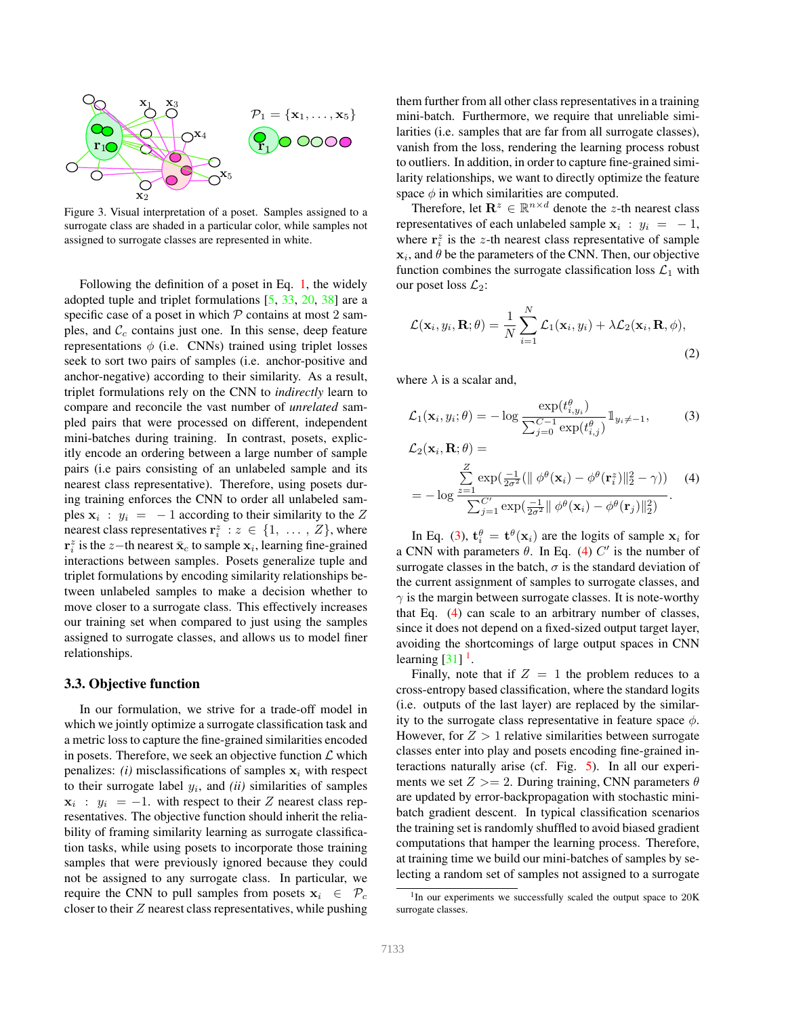<span id="page-3-4"></span>

<span id="page-3-0"></span>Figure 3. Visual interpretation of a poset. Samples assigned to a surrogate class are shaded in a particular color, while samples not assigned to surrogate classes are represented in white.

Following the definition of a poset in Eq. [1,](#page-2-1) the widely adopted tuple and triplet formulations [\[5,](#page-8-1) [33,](#page-9-2) [20,](#page-8-3) [38\]](#page-9-3) are a specific case of a poset in which  $P$  contains at most 2 samples, and  $\mathcal{C}_c$  contains just one. In this sense, deep feature representations  $\phi$  (i.e. CNNs) trained using triplet losses seek to sort two pairs of samples (i.e. anchor-positive and anchor-negative) according to their similarity. As a result, triplet formulations rely on the CNN to *indirectly* learn to compare and reconcile the vast number of *unrelated* sampled pairs that were processed on different, independent mini-batches during training. In contrast, posets, explicitly encode an ordering between a large number of sample pairs (i.e pairs consisting of an unlabeled sample and its nearest class representative). Therefore, using posets during training enforces the CNN to order all unlabeled samples  $x_i$ :  $y_i$  = -1 according to their similarity to the Z nearest class representatives  $\mathbf{r}_i^z : z \in \{1, \ldots, Z\}$ , where  $\mathbf{r}_i^z$  is the z-th nearest  $\bar{\mathbf{x}}_c$  to sample  $\mathbf{x}_i$ , learning fine-grained interactions between samples. Posets generalize tuple and triplet formulations by encoding similarity relationships between unlabeled samples to make a decision whether to move closer to a surrogate class. This effectively increases our training set when compared to just using the samples assigned to surrogate classes, and allows us to model finer relationships.

### 3.3. Objective function

In our formulation, we strive for a trade-off model in which we jointly optimize a surrogate classification task and a metric loss to capture the fine-grained similarities encoded in posets. Therefore, we seek an objective function  $\mathcal L$  which penalizes:  $(i)$  misclassifications of samples  $x_i$  with respect to their surrogate label  $y_i$ , and  $(ii)$  similarities of samples  $x_i$ :  $y_i$  = -1. with respect to their Z nearest class representatives. The objective function should inherit the reliability of framing similarity learning as surrogate classification tasks, while using posets to incorporate those training samples that were previously ignored because they could not be assigned to any surrogate class. In particular, we require the CNN to pull samples from posets  $x_i \in \mathcal{P}_c$ closer to their  $Z$  nearest class representatives, while pushing them further from all other class representatives in a training mini-batch. Furthermore, we require that unreliable similarities (i.e. samples that are far from all surrogate classes), vanish from the loss, rendering the learning process robust to outliers. In addition, in order to capture fine-grained similarity relationships, we want to directly optimize the feature space  $\phi$  in which similarities are computed.

Therefore, let  $\mathbf{R}^z \in \mathbb{R}^{n \times d}$  denote the z-th nearest class representatives of each unlabeled sample  $x_i : y_i = -1$ , where  $\mathbf{r}_i^z$  is the z-th nearest class representative of sample  $\mathbf{x}_i$ , and  $\theta$  be the parameters of the CNN. Then, our objective function combines the surrogate classification loss  $\mathcal{L}_1$  with our poset loss  $\mathcal{L}_2$ :

$$
\mathcal{L}(\mathbf{x}_i, y_i, \mathbf{R}; \theta) = \frac{1}{N} \sum_{i=1}^{N} \mathcal{L}_1(\mathbf{x}_i, y_i) + \lambda \mathcal{L}_2(\mathbf{x}_i, \mathbf{R}, \phi),
$$
\n(2)

where  $\lambda$  is a scalar and,

<span id="page-3-1"></span>
$$
\mathcal{L}_1(\mathbf{x}_i, y_i; \theta) = -\log \frac{\exp(t_{i, y_i}^{\theta})}{\sum_{j=0}^{C-1} \exp(t_{i, j}^{\theta})} \mathbb{1}_{y_i \neq -1},
$$
(3)

<span id="page-3-2"></span>
$$
\mathcal{L}_2(\mathbf{x}_i, \mathbf{R}; \theta) =
$$
\n
$$
\sum_{i=1}^{Z} \exp\left(\frac{-1}{2\sigma^2} \left( \|\phi^{\theta}(\mathbf{x}_i) - \phi^{\theta}(\mathbf{r}_i^z)\|_2^2 - \gamma \right) \right)
$$
\n
$$
= -\log \frac{z-1}{\sum_{j=1}^{C'} \exp\left(\frac{-1}{2\sigma^2} \|\phi^{\theta}(\mathbf{x}_i) - \phi^{\theta}(\mathbf{r}_j)\|_2^2 \right)}.
$$
\n(4)

In Eq. [\(3\)](#page-3-1),  $\mathbf{t}_i^{\theta} = \mathbf{t}^{\theta}(\mathbf{x}_i)$  are the logits of sample  $\mathbf{x}_i$  for a CNN with parameters  $\theta$ . In Eq. [\(4\)](#page-3-2) C' is the number of surrogate classes in the batch,  $\sigma$  is the standard deviation of the current assignment of samples to surrogate classes, and  $\gamma$  is the margin between surrogate classes. It is note-worthy that Eq. [\(4\)](#page-3-2) can scale to an arbitrary number of classes, since it does not depend on a fixed-sized output target layer, avoiding the shortcomings of large output spaces in CNN learning  $[31]$  $[31]$  $[31]$ <sup>1</sup>.

Finally, note that if  $Z = 1$  the problem reduces to a cross-entropy based classification, where the standard logits (i.e. outputs of the last layer) are replaced by the similarity to the surrogate class representative in feature space  $\phi$ . However, for  $Z > 1$  relative similarities between surrogate classes enter into play and posets encoding fine-grained interactions naturally arise (cf. Fig. [5\)](#page-6-0). In all our experiments we set  $Z \geq 2$ . During training, CNN parameters  $\theta$ are updated by error-backpropagation with stochastic minibatch gradient descent. In typical classification scenarios the training set is randomly shuffled to avoid biased gradient computations that hamper the learning process. Therefore, at training time we build our mini-batches of samples by selecting a random set of samples not assigned to a surrogate

<span id="page-3-3"></span><sup>&</sup>lt;sup>1</sup>In our experiments we successfully scaled the output space to 20K surrogate classes.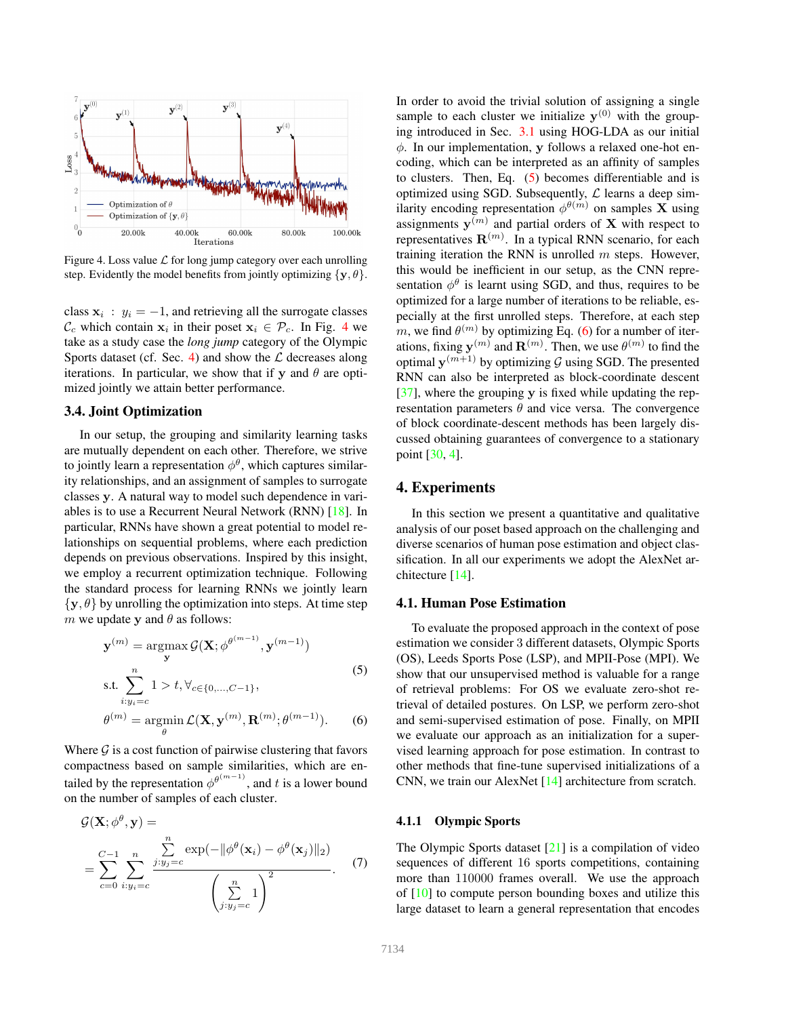<span id="page-4-6"></span>

<span id="page-4-0"></span>Figure 4. Loss value  $\mathcal L$  for long jump category over each unrolling step. Evidently the model benefits from jointly optimizing  $\{y, \theta\}$ .

class  $x_i$ :  $y_i = -1$ , and retrieving all the surrogate classes  $\mathcal{C}_c$  which contain  $x_i$  in their poset  $x_i \in \mathcal{P}_c$ . In Fig. [4](#page-4-0) we take as a study case the *long jump* category of the Olympic Sports dataset (cf. Sec. [4\)](#page-4-1) and show the  $\mathcal L$  decreases along iterations. In particular, we show that if y and  $\theta$  are optimized jointly we attain better performance.

#### <span id="page-4-4"></span>3.4. Joint Optimization

In our setup, the grouping and similarity learning tasks are mutually dependent on each other. Therefore, we strive to jointly learn a representation  $\phi^{\theta}$ , which captures similarity relationships, and an assignment of samples to surrogate classes y. A natural way to model such dependence in variables is to use a Recurrent Neural Network (RNN) [\[18\]](#page-8-11). In particular, RNNs have shown a great potential to model relationships on sequential problems, where each prediction depends on previous observations. Inspired by this insight, we employ a recurrent optimization technique. Following the standard process for learning RNNs we jointly learn  $\{y, \theta\}$  by unrolling the optimization into steps. At time step m we update y and  $\theta$  as follows:

$$
\mathbf{y}^{(m)} = \underset{\mathbf{y}}{\operatorname{argmax}} \mathcal{G}(\mathbf{X}; \phi^{\theta^{(m-1)}}, \mathbf{y}^{(m-1)})
$$
(5)  
s.t. 
$$
\sum_{i:y_i=c}^{n} 1 > t, \forall_{c \in \{0,\dots,C-1\}},
$$

$$
\theta^{(m)} = \underset{\theta}{\operatorname{argmin}} \mathcal{L}(\mathbf{X}, \mathbf{y}^{(m)}, \mathbf{R}^{(m)}; \theta^{(m-1)}).
$$
(6)

Where  $\mathcal G$  is a cost function of pairwise clustering that favors compactness based on sample similarities, which are entailed by the representation  $\varphi^{\theta^{(m-1)}}$ , and t is a lower bound on the number of samples of each cluster.

$$
G(\mathbf{X}; \phi^{\theta}, \mathbf{y}) =
$$
  
= 
$$
\sum_{c=0}^{C-1} \sum_{i:y_i=c}^{n} \frac{\sum_{j:y_j=c}^{n} \exp(-\|\phi^{\theta}(\mathbf{x}_i) - \phi^{\theta}(\mathbf{x}_j)\|_2)}{\left(\sum_{j:y_j=c}^{n} 1\right)^2}.
$$
 (7)

In order to avoid the trivial solution of assigning a single sample to each cluster we initialize  $y^{(0)}$  with the grouping introduced in Sec. [3.1](#page-2-2) using HOG-LDA as our initial  $\phi$ . In our implementation, y follows a relaxed one-hot encoding, which can be interpreted as an affinity of samples to clusters. Then, Eq. [\(5\)](#page-4-2) becomes differentiable and is optimized using SGD. Subsequently,  $\mathcal L$  learns a deep similarity encoding representation  $\phi^{\theta(m)}$  on samples **X** using assignments  $y^{(m)}$  and partial orders of X with respect to representatives  $\mathbf{R}^{(m)}$ . In a typical RNN scenario, for each training iteration the RNN is unrolled  $m$  steps. However, this would be inefficient in our setup, as the CNN representation  $\phi^{\theta}$  is learnt using SGD, and thus, requires to be optimized for a large number of iterations to be reliable, especially at the first unrolled steps. Therefore, at each step m, we find  $\theta^{(m)}$  by optimizing Eq. [\(6\)](#page-4-3) for a number of iterations, fixing  $y^{(m)}$  and  $\mathbf{R}^{(m)}$ . Then, we use  $\theta^{(m)}$  to find the optimal  $y^{(m+1)}$  by optimizing  $G$  using SGD. The presented RNN can also be interpreted as block-coordinate descent  $[37]$ , where the grouping y is fixed while updating the representation parameters  $\theta$  and vice versa. The convergence of block coordinate-descent methods has been largely discussed obtaining guarantees of convergence to a stationary point [\[30,](#page-9-14) [4\]](#page-8-12).

### <span id="page-4-1"></span>4. Experiments

In this section we present a quantitative and qualitative analysis of our poset based approach on the challenging and diverse scenarios of human pose estimation and object classification. In all our experiments we adopt the AlexNet architecture [\[14\]](#page-8-13).

#### 4.1. Human Pose Estimation

<span id="page-4-3"></span><span id="page-4-2"></span>To evaluate the proposed approach in the context of pose estimation we consider 3 different datasets, Olympic Sports (OS), Leeds Sports Pose (LSP), and MPII-Pose (MPI). We show that our unsupervised method is valuable for a range of retrieval problems: For OS we evaluate zero-shot retrieval of detailed postures. On LSP, we perform zero-shot and semi-supervised estimation of pose. Finally, on MPII we evaluate our approach as an initialization for a supervised learning approach for pose estimation. In contrast to other methods that fine-tune supervised initializations of a CNN, we train our AlexNet [\[14\]](#page-8-13) architecture from scratch.

#### <span id="page-4-5"></span>4.1.1 Olympic Sports

The Olympic Sports dataset  $[21]$  is a compilation of video sequences of different 16 sports competitions, containing more than 110000 frames overall. We use the approach of [\[10\]](#page-8-15) to compute person bounding boxes and utilize this large dataset to learn a general representation that encodes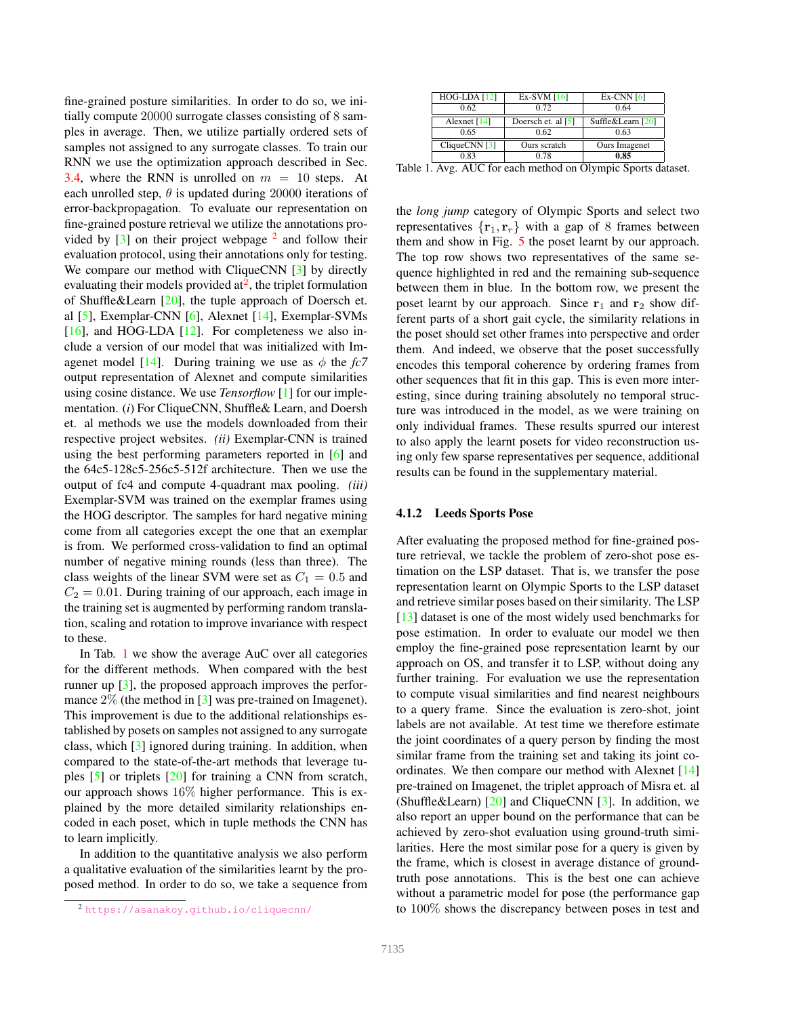<span id="page-5-2"></span>fine-grained posture similarities. In order to do so, we initially compute 20000 surrogate classes consisting of 8 samples in average. Then, we utilize partially ordered sets of samples not assigned to any surrogate classes. To train our RNN we use the optimization approach described in Sec. [3.4,](#page-4-4) where the RNN is unrolled on  $m = 10$  steps. At each unrolled step,  $\theta$  is updated during 20000 iterations of error-backpropagation. To evaluate our representation on fine-grained posture retrieval we utilize the annotations provided by  $[3]$  on their project webpage  $^2$  $^2$  and follow their evaluation protocol, using their annotations only for testing. We compare our method with CliqueCNN [\[3\]](#page-8-5) by directly evaluating their models provided  $at^2$  $at^2$ , the triplet formulation of Shuffle&Learn [\[20\]](#page-8-3), the tuple approach of Doersch et. al [\[5\]](#page-8-1), Exemplar-CNN [\[6\]](#page-8-4), Alexnet [\[14\]](#page-8-13), Exemplar-SVMs  $[16]$ , and HOG-LDA  $[12]$ . For completeness we also include a version of our model that was initialized with Im-agenet model [\[14\]](#page-8-13). During training we use as  $\phi$  the *fc*7 output representation of Alexnet and compute similarities using cosine distance. We use *Tensorflow* [\[1\]](#page-8-17) for our implementation. (*i*) For CliqueCNN, Shuffle& Learn, and Doersh et. al methods we use the models downloaded from their respective project websites. *(ii)* Exemplar-CNN is trained using the best performing parameters reported in [\[6\]](#page-8-4) and the 64c5-128c5-256c5-512f architecture. Then we use the output of fc4 and compute 4-quadrant max pooling. *(iii)* Exemplar-SVM was trained on the exemplar frames using the HOG descriptor. The samples for hard negative mining come from all categories except the one that an exemplar is from. We performed cross-validation to find an optimal number of negative mining rounds (less than three). The class weights of the linear SVM were set as  $C_1 = 0.5$  and  $C_2 = 0.01$ . During training of our approach, each image in the training set is augmented by performing random translation, scaling and rotation to improve invariance with respect to these.

In Tab. [1](#page-5-1) we show the average AuC over all categories for the different methods. When compared with the best runner up [\[3\]](#page-8-5), the proposed approach improves the performance  $2\%$  (the method in [\[3\]](#page-8-5) was pre-trained on Imagenet). This improvement is due to the additional relationships established by posets on samples not assigned to any surrogate class, which [\[3\]](#page-8-5) ignored during training. In addition, when compared to the state-of-the-art methods that leverage tuples [\[5\]](#page-8-1) or triplets [\[20\]](#page-8-3) for training a CNN from scratch, our approach shows 16% higher performance. This is explained by the more detailed similarity relationships encoded in each poset, which in tuple methods the CNN has to learn implicitly.

In addition to the quantitative analysis we also perform a qualitative evaluation of the similarities learnt by the proposed method. In order to do so, we take a sequence from

| $HOG-LDA [12]$  | Ex-SVM $[16]$        | Ex-CNN $[6]$      |
|-----------------|----------------------|-------------------|
| 0.62            | 0.72                 | 0.64              |
| Alexnet $[14]$  | Doersch et. al $[5]$ | Suffle&Learn [20] |
| 0.65            | 0.62                 | 0.63              |
| CliqueCNN $[3]$ | Ours scratch         | Ours Imagenet     |
| ገ ጸ3            | በ 78                 | 0.85              |

<span id="page-5-1"></span>Table 1. Avg. AUC for each method on Olympic Sports dataset.

the *long jump* category of Olympic Sports and select two representatives  $\{r_1, r_r\}$  with a gap of 8 frames between them and show in Fig. [5](#page-6-0) the poset learnt by our approach. The top row shows two representatives of the same sequence highlighted in red and the remaining sub-sequence between them in blue. In the bottom row, we present the poset learnt by our approach. Since  $r_1$  and  $r_2$  show different parts of a short gait cycle, the similarity relations in the poset should set other frames into perspective and order them. And indeed, we observe that the poset successfully encodes this temporal coherence by ordering frames from other sequences that fit in this gap. This is even more interesting, since during training absolutely no temporal structure was introduced in the model, as we were training on only individual frames. These results spurred our interest to also apply the learnt posets for video reconstruction using only few sparse representatives per sequence, additional results can be found in the supplementary material.

#### 4.1.2 Leeds Sports Pose

After evaluating the proposed method for fine-grained posture retrieval, we tackle the problem of zero-shot pose estimation on the LSP dataset. That is, we transfer the pose representation learnt on Olympic Sports to the LSP dataset and retrieve similar poses based on their similarity. The LSP [\[13\]](#page-8-18) dataset is one of the most widely used benchmarks for pose estimation. In order to evaluate our model we then employ the fine-grained pose representation learnt by our approach on OS, and transfer it to LSP, without doing any further training. For evaluation we use the representation to compute visual similarities and find nearest neighbours to a query frame. Since the evaluation is zero-shot, joint labels are not available. At test time we therefore estimate the joint coordinates of a query person by finding the most similar frame from the training set and taking its joint coordinates. We then compare our method with Alexnet [\[14\]](#page-8-13) pre-trained on Imagenet, the triplet approach of Misra et. al (Shuffle&Learn)  $[20]$  and CliqueCNN  $[3]$ . In addition, we also report an upper bound on the performance that can be achieved by zero-shot evaluation using ground-truth similarities. Here the most similar pose for a query is given by the frame, which is closest in average distance of groundtruth pose annotations. This is the best one can achieve without a parametric model for pose (the performance gap to 100% shows the discrepancy between poses in test and

<span id="page-5-0"></span><sup>2</sup> <https://asanakoy.github.io/cliquecnn/>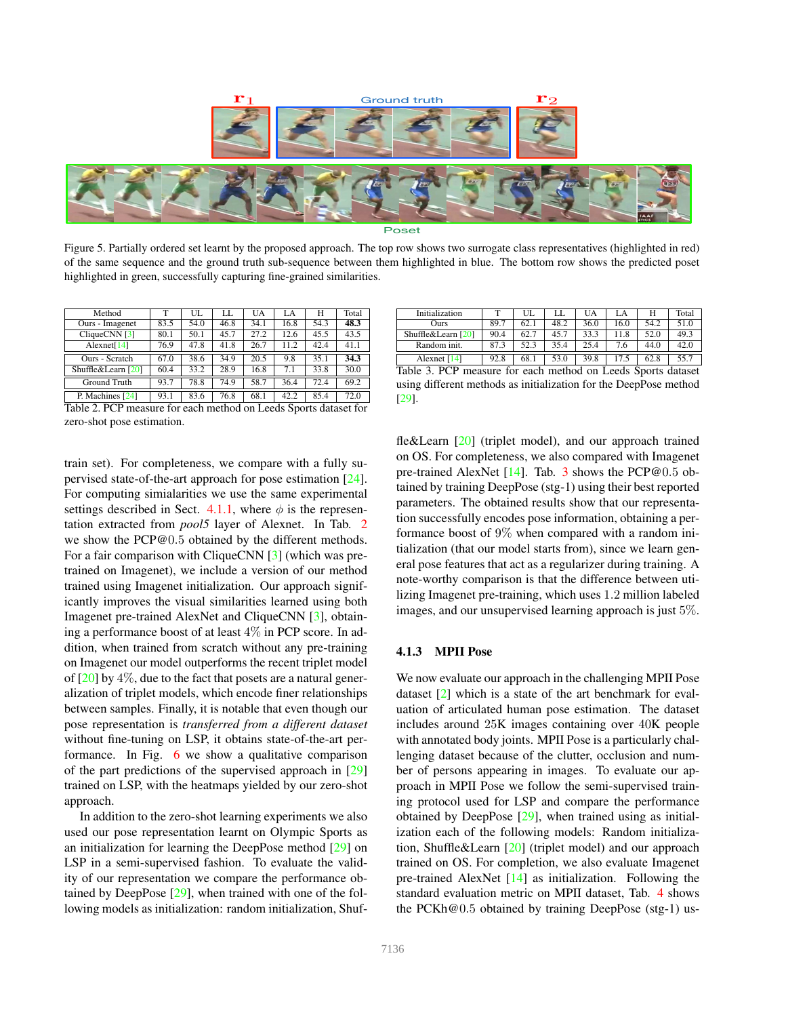<span id="page-6-3"></span>

Figure 5. Partially ordered set learnt by the proposed approach. The top row shows two surrogate class representatives (highlighted in red) of the same sequence and the ground truth sub-sequence between them highlighted in blue. The bottom row shows the predicted poset highlighted in green, successfully capturing fine-grained similarities.

<span id="page-6-0"></span>

| Method             | т    | UL   | LL   | UA   | LA   | н    | Total |
|--------------------|------|------|------|------|------|------|-------|
| Ours - Imagenet    | 83.5 | 54.0 | 46.8 | 34.1 | 16.8 | 54.3 | 48.3  |
| CliqueCNN $[3]$    | 80.1 | 50.1 | 45.7 | 27.2 | 12.6 | 45.5 | 43.5  |
| Alexnet $[14]$     | 76.9 | 47.8 | 41.8 | 26.7 | 11.2 | 42.4 | 41.1  |
| Ours - Scratch     | 67.0 | 38.6 | 34.9 | 20.5 | 9.8  | 35.1 | 34.3  |
| Shuffle&Learn [20] | 60.4 | 33.2 | 28.9 | 16.8 | 7.1  | 33.8 | 30.0  |
| Ground Truth       | 93.7 | 78.8 | 74.9 | 58.7 | 36.4 | 72.4 | 69.2  |
| P. Machines [24]   | 93.1 | 83.6 | 76.8 | 68.1 | 42.2 | 85.4 | 72.0  |

<span id="page-6-1"></span>Table 2. PCP measure for each method on Leeds Sports dataset for zero-shot pose estimation.

train set). For completeness, we compare with a fully supervised state-of-the-art approach for pose estimation [\[24\]](#page-9-15). For computing simialarities we use the same experimental settings described in Sect. [4.1.1,](#page-4-5) where  $\phi$  is the representation extracted from *pool5* layer of Alexnet. In Tab. [2](#page-6-1) we show the PCP@0.5 obtained by the different methods. For a fair comparison with CliqueCNN [\[3\]](#page-8-5) (which was pretrained on Imagenet), we include a version of our method trained using Imagenet initialization. Our approach significantly improves the visual similarities learned using both Imagenet pre-trained AlexNet and CliqueCNN [\[3\]](#page-8-5), obtaining a performance boost of at least 4% in PCP score. In addition, when trained from scratch without any pre-training on Imagenet our model outperforms the recent triplet model of  $[20]$  by  $4\%$ , due to the fact that posets are a natural generalization of triplet models, which encode finer relationships between samples. Finally, it is notable that even though our pose representation is *transferred from a different dataset* without fine-tuning on LSP, it obtains state-of-the-art performance. In Fig. [6](#page-7-0) we show a qualitative comparison of the part predictions of the supervised approach in [\[29\]](#page-9-16) trained on LSP, with the heatmaps yielded by our zero-shot approach.

In addition to the zero-shot learning experiments we also used our pose representation learnt on Olympic Sports as an initialization for learning the DeepPose method [\[29\]](#page-9-16) on LSP in a semi-supervised fashion. To evaluate the validity of our representation we compare the performance obtained by DeepPose [\[29\]](#page-9-16), when trained with one of the following models as initialization: random initialization, Shuf-

| Initialization       |      | UL   | LL.  | UA   |      |      | Total |
|----------------------|------|------|------|------|------|------|-------|
| Ours                 | 89.7 | 62.1 | 48.2 | 36.0 | 16.0 | 54.2 | 51.0  |
| Shuffle&Learn $[20]$ | 90.4 | 62.7 | 45.7 | 33.3 | 11.8 | 52.0 | 49.3  |
| Random init.         | 87.3 | 52.3 | 35.4 | 25.4 | 7.6  | 44.0 | 42.0  |
| Alexnet $[14]$       | 92.8 | 68.1 | 53.0 | 39.8 |      | 62.8 | 55.7  |

<span id="page-6-2"></span>Table 3. PCP measure for each method on Leeds Sports dataset using different methods as initialization for the DeepPose method [\[29\]](#page-9-16).

fle&Learn [\[20\]](#page-8-3) (triplet model), and our approach trained on OS. For completeness, we also compared with Imagenet pre-trained AlexNet [\[14\]](#page-8-13). Tab. [3](#page-6-2) shows the PCP@0.5 obtained by training DeepPose (stg-1) using their best reported parameters. The obtained results show that our representation successfully encodes pose information, obtaining a performance boost of 9% when compared with a random initialization (that our model starts from), since we learn general pose features that act as a regularizer during training. A note-worthy comparison is that the difference between utilizing Imagenet pre-training, which uses 1.2 million labeled images, and our unsupervised learning approach is just 5%.

#### 4.1.3 MPII Pose

We now evaluate our approach in the challenging MPII Pose dataset [\[2\]](#page-8-19) which is a state of the art benchmark for evaluation of articulated human pose estimation. The dataset includes around 25K images containing over 40K people with annotated body joints. MPII Pose is a particularly challenging dataset because of the clutter, occlusion and number of persons appearing in images. To evaluate our approach in MPII Pose we follow the semi-supervised training protocol used for LSP and compare the performance obtained by DeepPose [\[29\]](#page-9-16), when trained using as initialization each of the following models: Random initialization, Shuffle&Learn [\[20\]](#page-8-3) (triplet model) and our approach trained on OS. For completion, we also evaluate Imagenet pre-trained AlexNet [\[14\]](#page-8-13) as initialization. Following the standard evaluation metric on MPII dataset, Tab. [4](#page-7-1) shows the PCKh@0.5 obtained by training DeepPose (stg-1) us-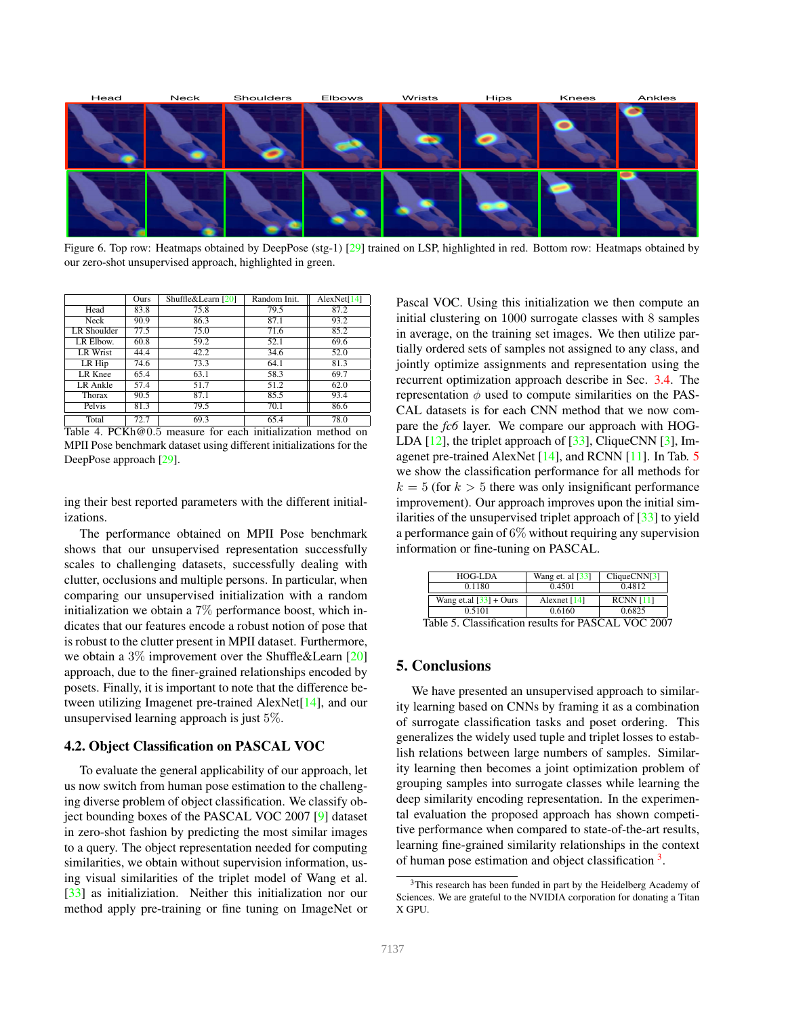<span id="page-7-4"></span>

<span id="page-7-0"></span>Figure 6. Top row: Heatmaps obtained by DeepPose (stg-1) [\[29\]](#page-9-16) trained on LSP, highlighted in red. Bottom row: Heatmaps obtained by our zero-shot unsupervised approach, highlighted in green.

|                | Ours | Shuffle&Learn [20] | Random Init. | AlexNet $[14]$ |
|----------------|------|--------------------|--------------|----------------|
| Head           | 83.8 | 75.8               | 79.5         | 87.2           |
| Neck           | 90.9 | 86.3               | 87.1         | 93.2           |
| LR Shoulder    | 77.5 | 75.0               | 71.6         | 85.2           |
| LR Elbow.      | 60.8 | 59.2               | 52.1         | 69.6           |
| LR Wrist       | 44.4 | 42.2               | 34.6         | 52.0           |
| LR Hip         | 74.6 | 73.3               | 64.1         | 81.3           |
| <b>LR</b> Knee | 65.4 | 63.1               | 58.3         | 69.7           |
| LR Ankle       | 57.4 | 51.7               | 51.2         | 62.0           |
| Thorax         | 90.5 | 87.1               | 85.5         | 93.4           |
| Pelvis         | 81.3 | 79.5               | 70.1         | 86.6           |
| Total          | 72.7 | 69.3               | 65.4         | 78.0           |

<span id="page-7-1"></span>Table 4. PCKh@0.5 measure for each initialization method on MPII Pose benchmark dataset using different initializations for the DeepPose approach [\[29\]](#page-9-16).

ing their best reported parameters with the different initializations.

The performance obtained on MPII Pose benchmark shows that our unsupervised representation successfully scales to challenging datasets, successfully dealing with clutter, occlusions and multiple persons. In particular, when comparing our unsupervised initialization with a random initialization we obtain a  $7\%$  performance boost, which indicates that our features encode a robust notion of pose that is robust to the clutter present in MPII dataset. Furthermore, we obtain a 3% improvement over the Shuffle&Learn [\[20\]](#page-8-3) approach, due to the finer-grained relationships encoded by posets. Finally, it is important to note that the difference be-tween utilizing Imagenet pre-trained AlexNet<sup>[\[14\]](#page-8-13)</sup>, and our unsupervised learning approach is just 5%.

### 4.2. Object Classification on PASCAL VOC

To evaluate the general applicability of our approach, let us now switch from human pose estimation to the challenging diverse problem of object classification. We classify object bounding boxes of the PASCAL VOC 2007 [\[9\]](#page-8-20) dataset in zero-shot fashion by predicting the most similar images to a query. The object representation needed for computing similarities, we obtain without supervision information, using visual similarities of the triplet model of Wang et al. [\[33\]](#page-9-2) as initializiation. Neither this initialization nor our method apply pre-training or fine tuning on ImageNet or Pascal VOC. Using this initialization we then compute an initial clustering on 1000 surrogate classes with 8 samples in average, on the training set images. We then utilize partially ordered sets of samples not assigned to any class, and jointly optimize assignments and representation using the recurrent optimization approach describe in Sec. [3.4.](#page-4-4) The representation  $\phi$  used to compute similarities on the PAS-CAL datasets is for each CNN method that we now compare the *fc6* layer. We compare our approach with HOG-LDA [\[12\]](#page-8-9), the triplet approach of [\[33\]](#page-9-2), CliqueCNN [\[3\]](#page-8-5), Imagenet pre-trained AlexNet [\[14\]](#page-8-13), and RCNN [\[11\]](#page-8-21). In Tab. [5](#page-7-2) we show the classification performance for all methods for  $k = 5$  (for  $k > 5$  there was only insignificant performance improvement). Our approach improves upon the initial similarities of the unsupervised triplet approach of [\[33\]](#page-9-2) to yield a performance gain of 6% without requiring any supervision information or fine-tuning on PASCAL.

| <b>HOG-LDA</b>                                            | Wang et. al $[33]$ | CliqueCNN[3] |  |  |
|-----------------------------------------------------------|--------------------|--------------|--|--|
| 0.1180                                                    | 0.4501             | 0.4812       |  |  |
| Wang et.al $\left[33\right]$ + Ours                       | Alexnet $[14]$     | RCNN[11]     |  |  |
| 0.5101                                                    | 0.6160             | 0.6825       |  |  |
| 111 F<br>$\mu$ $\epsilon$ biggit vog 200<br>$\sim$ $\sim$ |                    |              |  |  |

<span id="page-7-2"></span>Table 5. Classification results for PASCAL VOC 2007

# 5. Conclusions

We have presented an unsupervised approach to similarity learning based on CNNs by framing it as a combination of surrogate classification tasks and poset ordering. This generalizes the widely used tuple and triplet losses to establish relations between large numbers of samples. Similarity learning then becomes a joint optimization problem of grouping samples into surrogate classes while learning the deep similarity encoding representation. In the experimental evaluation the proposed approach has shown competitive performance when compared to state-of-the-art results, learning fine-grained similarity relationships in the context of human pose estimation and object classification [3](#page-7-3).

<span id="page-7-3"></span><sup>&</sup>lt;sup>3</sup>This research has been funded in part by the Heidelberg Academy of Sciences. We are grateful to the NVIDIA corporation for donating a Titan X GPU.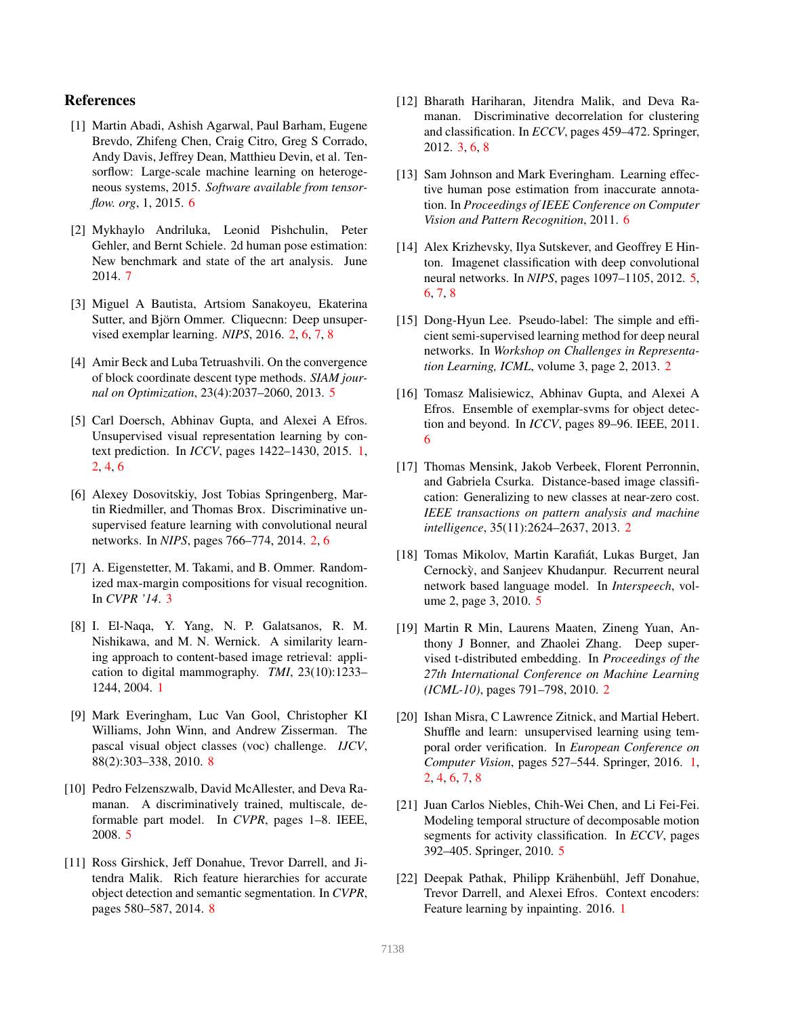# References

- <span id="page-8-17"></span>[1] Martin Abadi, Ashish Agarwal, Paul Barham, Eugene Brevdo, Zhifeng Chen, Craig Citro, Greg S Corrado, Andy Davis, Jeffrey Dean, Matthieu Devin, et al. Tensorflow: Large-scale machine learning on heterogeneous systems, 2015. *Software available from tensorflow. org*, 1, 2015. [6](#page-5-2)
- <span id="page-8-19"></span>[2] Mykhaylo Andriluka, Leonid Pishchulin, Peter Gehler, and Bernt Schiele. 2d human pose estimation: New benchmark and state of the art analysis. June 2014. [7](#page-6-3)
- <span id="page-8-5"></span>[3] Miguel A Bautista, Artsiom Sanakoyeu, Ekaterina Sutter, and Björn Ommer. Cliquecnn: Deep unsupervised exemplar learning. *NIPS*, 2016. [2,](#page-1-0) [6,](#page-5-2) [7,](#page-6-3) [8](#page-7-4)
- <span id="page-8-12"></span>[4] Amir Beck and Luba Tetruashvili. On the convergence of block coordinate descent type methods. *SIAM journal on Optimization*, 23(4):2037–2060, 2013. [5](#page-4-6)
- <span id="page-8-1"></span>[5] Carl Doersch, Abhinav Gupta, and Alexei A Efros. Unsupervised visual representation learning by context prediction. In *ICCV*, pages 1422–1430, 2015. [1,](#page-0-0) [2,](#page-1-0) [4,](#page-3-4) [6](#page-5-2)
- <span id="page-8-4"></span>[6] Alexey Dosovitskiy, Jost Tobias Springenberg, Martin Riedmiller, and Thomas Brox. Discriminative unsupervised feature learning with convolutional neural networks. In *NIPS*, pages 766–774, 2014. [2,](#page-1-0) [6](#page-5-2)
- <span id="page-8-10"></span>[7] A. Eigenstetter, M. Takami, and B. Ommer. Randomized max-margin compositions for visual recognition. In *CVPR '14*. [3](#page-2-3)
- <span id="page-8-0"></span>[8] I. El-Naqa, Y. Yang, N. P. Galatsanos, R. M. Nishikawa, and M. N. Wernick. A similarity learning approach to content-based image retrieval: application to digital mammography. *TMI*, 23(10):1233– 1244, 2004. [1](#page-0-0)
- <span id="page-8-20"></span>[9] Mark Everingham, Luc Van Gool, Christopher KI Williams, John Winn, and Andrew Zisserman. The pascal visual object classes (voc) challenge. *IJCV*, 88(2):303–338, 2010. [8](#page-7-4)
- <span id="page-8-15"></span>[10] Pedro Felzenszwalb, David McAllester, and Deva Ramanan. A discriminatively trained, multiscale, deformable part model. In *CVPR*, pages 1–8. IEEE, 2008. [5](#page-4-6)
- <span id="page-8-21"></span>[11] Ross Girshick, Jeff Donahue, Trevor Darrell, and Jitendra Malik. Rich feature hierarchies for accurate object detection and semantic segmentation. In *CVPR*, pages 580–587, 2014. [8](#page-7-4)
- <span id="page-8-9"></span>[12] Bharath Hariharan, Jitendra Malik, and Deva Ramanan. Discriminative decorrelation for clustering and classification. In *ECCV*, pages 459–472. Springer, 2012. [3,](#page-2-3) [6,](#page-5-2) [8](#page-7-4)
- <span id="page-8-18"></span>[13] Sam Johnson and Mark Everingham. Learning effective human pose estimation from inaccurate annotation. In *Proceedings of IEEE Conference on Computer Vision and Pattern Recognition*, 2011. [6](#page-5-2)
- <span id="page-8-13"></span>[14] Alex Krizhevsky, Ilya Sutskever, and Geoffrey E Hinton. Imagenet classification with deep convolutional neural networks. In *NIPS*, pages 1097–1105, 2012. [5,](#page-4-6) [6,](#page-5-2) [7,](#page-6-3) [8](#page-7-4)
- <span id="page-8-6"></span>[15] Dong-Hyun Lee. Pseudo-label: The simple and efficient semi-supervised learning method for deep neural networks. In *Workshop on Challenges in Representation Learning, ICML*, volume 3, page 2, 2013. [2](#page-1-0)
- <span id="page-8-16"></span>[16] Tomasz Malisiewicz, Abhinav Gupta, and Alexei A Efros. Ensemble of exemplar-svms for object detection and beyond. In *ICCV*, pages 89–96. IEEE, 2011. [6](#page-5-2)
- <span id="page-8-8"></span>[17] Thomas Mensink, Jakob Verbeek, Florent Perronnin, and Gabriela Csurka. Distance-based image classification: Generalizing to new classes at near-zero cost. *IEEE transactions on pattern analysis and machine intelligence*, 35(11):2624–2637, 2013. [2](#page-1-0)
- <span id="page-8-11"></span>[18] Tomas Mikolov, Martin Karafiat, Lukas Burget, Jan ´ Cernocky, and Sanjeev Khudanpur. Recurrent neural ` network based language model. In *Interspeech*, volume 2, page 3, 2010. [5](#page-4-6)
- <span id="page-8-7"></span>[19] Martin R Min, Laurens Maaten, Zineng Yuan, Anthony J Bonner, and Zhaolei Zhang. Deep supervised t-distributed embedding. In *Proceedings of the 27th International Conference on Machine Learning (ICML-10)*, pages 791–798, 2010. [2](#page-1-0)
- <span id="page-8-3"></span>[20] Ishan Misra, C Lawrence Zitnick, and Martial Hebert. Shuffle and learn: unsupervised learning using temporal order verification. In *European Conference on Computer Vision*, pages 527–544. Springer, 2016. [1,](#page-0-0) [2,](#page-1-0) [4,](#page-3-4) [6,](#page-5-2) [7,](#page-6-3) [8](#page-7-4)
- <span id="page-8-14"></span>[21] Juan Carlos Niebles, Chih-Wei Chen, and Li Fei-Fei. Modeling temporal structure of decomposable motion segments for activity classification. In *ECCV*, pages 392–405. Springer, 2010. [5](#page-4-6)
- <span id="page-8-2"></span>[22] Deepak Pathak, Philipp Krähenbühl, Jeff Donahue, Trevor Darrell, and Alexei Efros. Context encoders: Feature learning by inpainting. 2016. [1](#page-0-0)